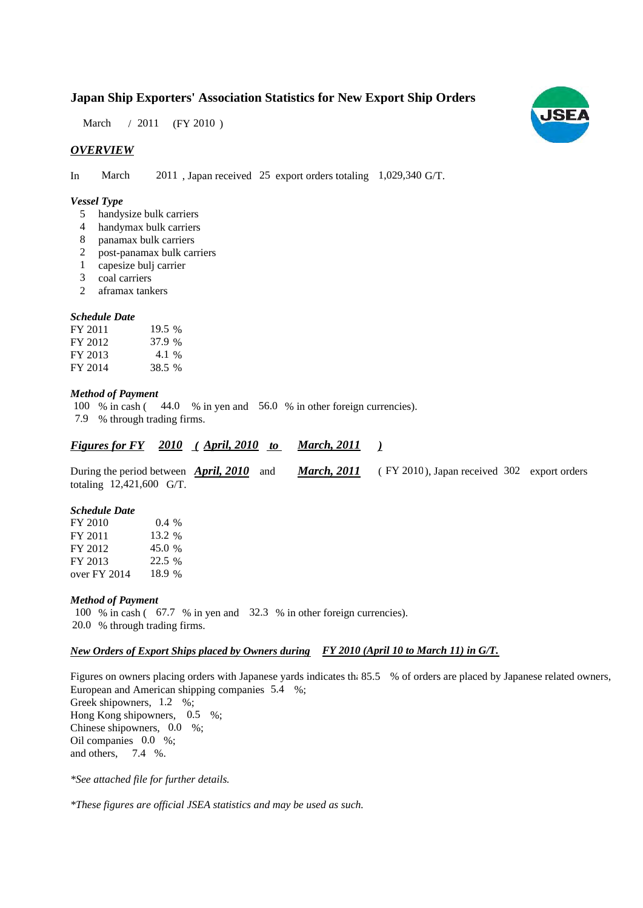## **Japan Ship Exporters' Association Statistics for New Export Ship Orders**

March / 2011 (FY 2010)

## *OVERVIEW*

In March 2011, Japan received 25 export orders totaling 1,029,340 G/T.

#### *Vessel Type*

- handysize bulk carriers 5
- handymax bulk carriers 4
- panamax bulk carriers 8
- post-panamax bulk carriers 2
- capesize bulj carrier 1
- coal carriers 3
- aframax tankers 2

#### *Schedule Date*

| FY 2011 | 19.5 % |
|---------|--------|
| FY 2012 | 37.9 % |
| FY 2013 | 4.1 %  |
| FY 2014 | 38.5 % |

#### *Method of Payment*

100 % in cash (44.0 % in yen and 56.0 % in other foreign currencies). % through trading firms. 7.9

|  |  |  | <b>Figures for FY</b> 2010 (April, 2010) |  | <b>March, 2011</b> |  |
|--|--|--|------------------------------------------|--|--------------------|--|
|--|--|--|------------------------------------------|--|--------------------|--|

During the period between **April, 2010** and **March, 2011** (FY 2010), Japan received 302 export orders totaling  $12,421,600$  G/T. During the period between *April, 2010* and *March, 2011* 

#### *Schedule Date*

| FY 2010      | $0.4\%$ |
|--------------|---------|
| FY 2011      | 13.2 %  |
| FY 2012      | 45.0 %  |
| FY 2013      | 22.5 %  |
| over FY 2014 | 18.9 %  |

#### *Method of Payment*

100 % in cash (67.7 % in yen and 32.3 % in other foreign currencies). % through trading firms. 20.0

## *New Orders of Export Ships placed by Owners during FY 2010 (April 10 to March 11) in G/T.*

Figures on owners placing orders with Japanese yards indicates th: 85.5 % of orders are placed by Japanese related owners, European and American shipping companies  $5.4\%$ ; Greek shipowners, 1.2 %; Hong Kong shipowners, 0.5 %; Chinese shipowners,  $0.0\%$ ; Oil companies 0.0 %; and others,  $7.4\%$ .

*\*See attached file for further details.*

*\*These figures are official JSEA statistics and may be used as such.*

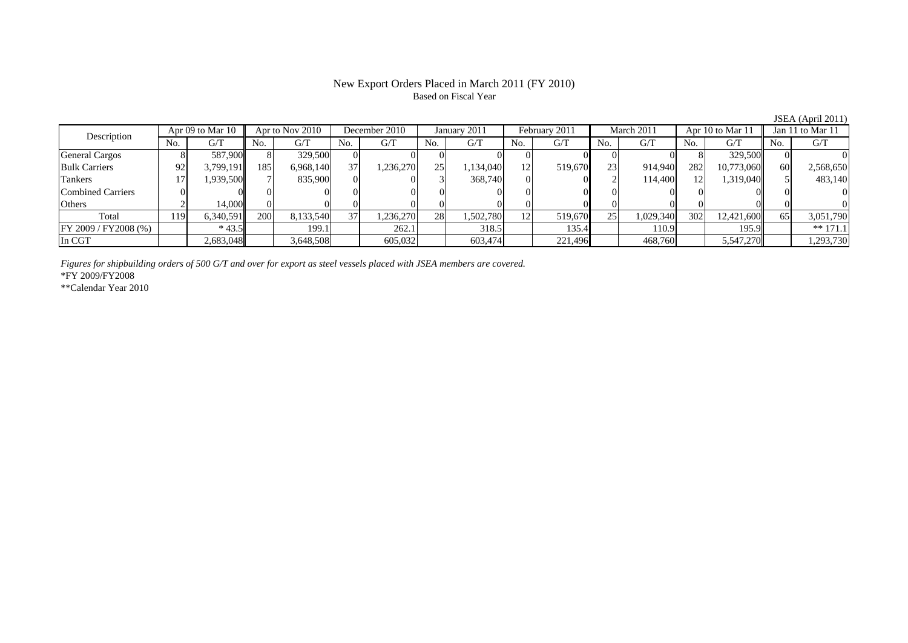## New Export Orders Placed in March 2011 (FY 2010) Based on Fiscal Year

JSEA (April 2011)<br>Jan 11 to Mar 11 No. G/T No. G/T No. G/T No. G/T No. G/T No. G/T No. G/T No. G/T $G/T$ General Cargos | 8| 587,900|| 8| 329,500| 0| 0| 0| 0| 0| 0| 0| 0| 0| 0| 8| 329,500|| 0| 0 Bulk Carriers | 92| 3,799,191|| 185| 6,968,140| 37| 1,236,270| 25| 1,134,040| 12| 519,670| 23| 914,940| 282| 10,773,060|| 60| 2,568,650 Tankers | 17| 1,939,500|| 7| 835,900| 0| 0| 3| 368,740| 0| 0| 2| 114,400| 12| 1,319,040|| 5| 483,140 Combined Carriers 0 0 0 0 0 0 0 0 0 0 0 0 0 0 0 0Others 2 14,000 0 0 0 0 0 0 0 0 0 0 0 0 0 0 Total 119 6,340,591 200 8,133,540 37 1,236,270 28 1,502,780 12 519,670 25 1,029,340 302 12,421,600 65 3,051,790 FY 2009 / FY 2008 (%) \* 43.5 199.1 262.1 318.5 135.4 110.9 195.9 \*\* 171.1<br>In CGT 2.683,048 3,648,508 605,032 603,474 221,496 468,760 5,547,270 1,293,730 In CGT | | 2,683,048|| | 3,648,508| | 605,032| | 603,474| | 221,496| | 468,760| | 5,547,270|| | 1,293,730 Description Apr 09 to Mar 10 Apr to Nov 2010 December 2010 January 2011<br>No. 6/T No. 6/T No. 6/T No. 6/T No. 6/T Apr 09 to Mar 10 || Apr to Nov 2010 | December 2010 | January 2011 | February 2011 | March 2011 | Apr 10 to Mar 11 || Jan 11 to Mar 11

*Figures for shipbuilding orders of 500 G/T and over for export as steel vessels placed with JSEA members are covered.*

\*FY 2009/FY2008

\*\*Calendar Year 2010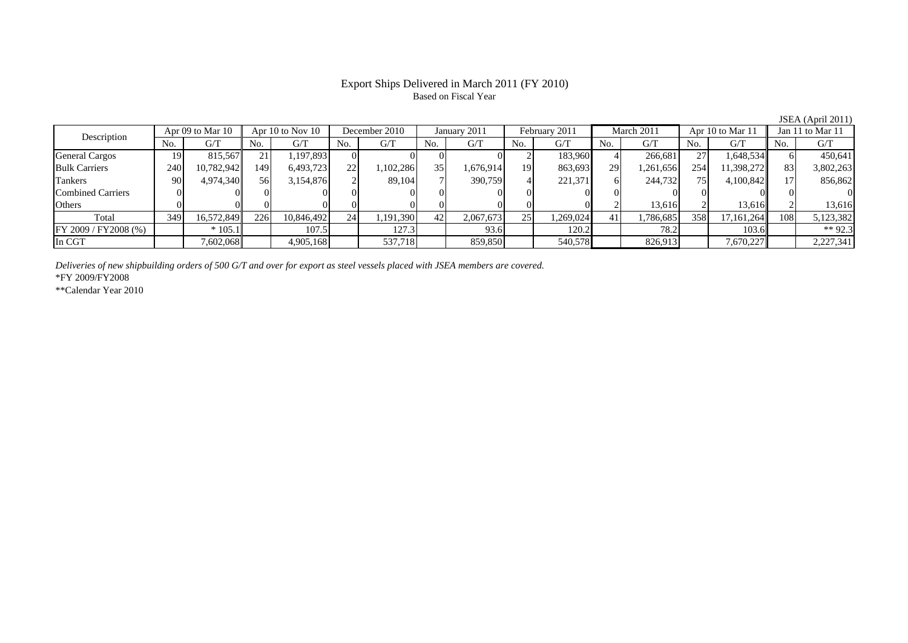## Export Ships Delivered in March 2011 (FY 2010) Based on Fiscal Year

JSEA (April 2011)

| Description              |     | Apr 09 to Mar 10 |      | Apr 10 to Nov 10 | December 2010 |           | January 2011    |           | February 2011  |           | March 2011 |           | Apr 10 to Mar 11 |            | Jan 11 to Mar 11 |           |
|--------------------------|-----|------------------|------|------------------|---------------|-----------|-----------------|-----------|----------------|-----------|------------|-----------|------------------|------------|------------------|-----------|
|                          | No. | G/T              | No.  | G/T              | No.           | G/T       | No.             | G/T       | N <sub>o</sub> | G/T       | No.        | G/T       | No.              | G/T        | No.              | G/T       |
| <b>General Cargos</b>    | 19  | 815.567          | 21   | 1,197,893        |               |           |                 |           |                | 183,960   |            | 266.681   | 27               | 1,648,534  |                  | 450,641   |
| <b>Bulk Carriers</b>     | 240 | 10,782,942       | 149' | 6,493,723        | 22            | 1,102,286 | 35 <sup>1</sup> | 1,676,914 | 19             | 863,693   | 29         | 1,261,656 | 254              | 1,398,272  | 83               | 3,802,263 |
| Tankers                  | 90  | 4,974,340        | 56   | 3,154,876        |               | 89.104    |                 | 390,759   |                | 221,371   |            | 244,732   | 75               | 4,100,842  |                  | 856,862   |
| <b>Combined Carriers</b> |     |                  |      |                  |               |           |                 |           |                |           |            |           |                  |            |                  |           |
| Others                   |     |                  |      |                  |               |           |                 |           |                |           |            | 13,616    |                  | 13,616     |                  | 13.616    |
| Total                    | 349 | 16,572,849       | 226  | 10,846,492       | 24            | 1,191,390 | 42 <sup>1</sup> | 2,067,673 | 25             | 1,269,024 | 41         | 1,786,685 | 358              | 17,161,264 | 108              | 5,123,382 |
| FY 2009 / FY 2008 (%)    |     | $*105.1$         |      | 107.5            |               | 127.3     |                 | 93.6      |                | 120.2     |            | 78.2      |                  | 103.6      |                  | ** 92.3   |
| In CGT                   |     | 7,602,068        |      | 4,905,168        |               | 537,718   |                 | 859,850   |                | 540,578   |            | 826,913   |                  | 7,670,227  |                  | 2,227,341 |

*Deliveries of new shipbuilding orders of 500 G/T and over for export as steel vessels placed with JSEA members are covered.*

\*FY 2009/FY2008

\*\*Calendar Year 2010